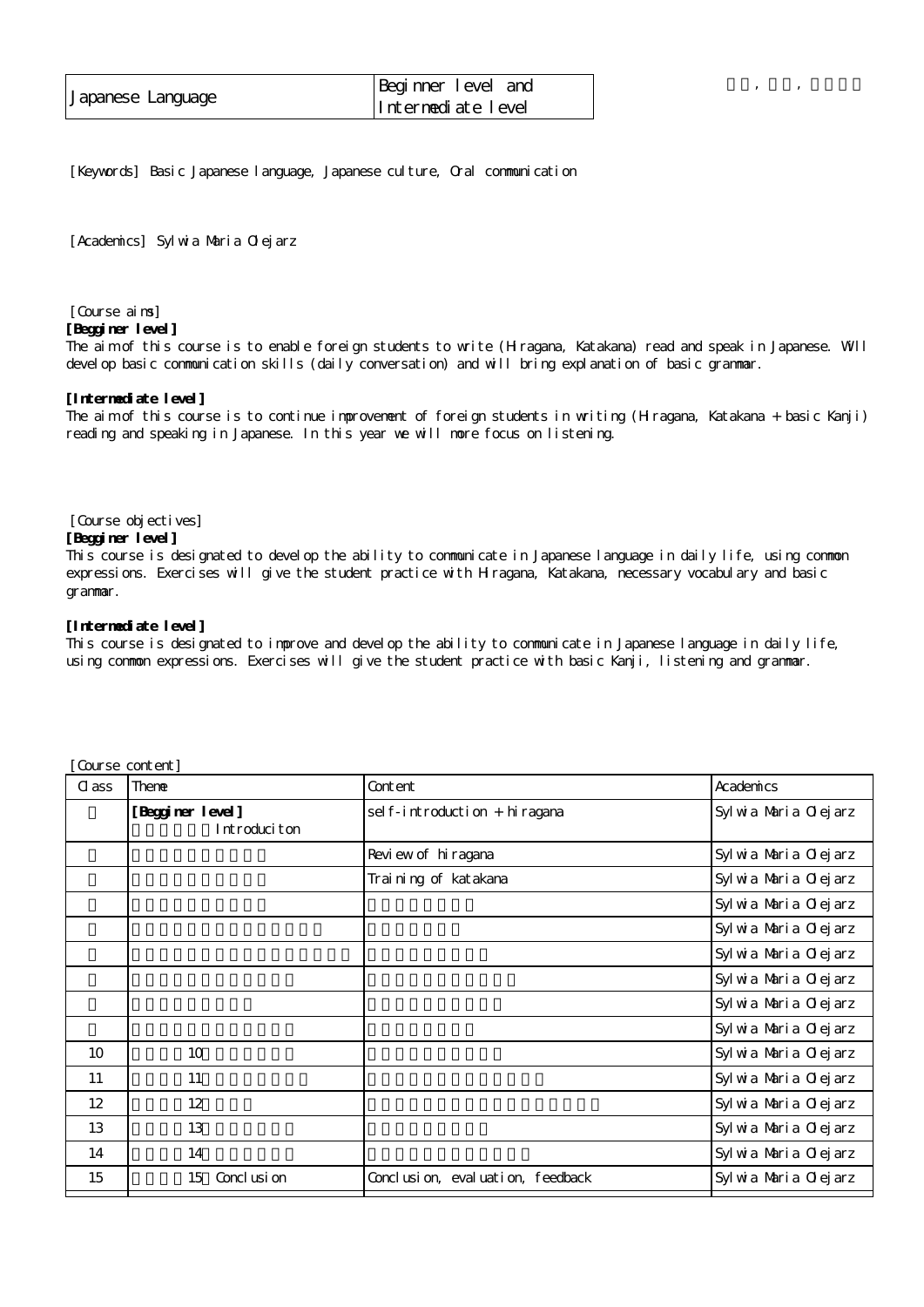| Japanese Language | Beginner level and |
|-------------------|--------------------|
|                   | Intermediate level |

[Keywords] Basic Japanese language, Japanese culture, Oral communication

[Academics] Sylwia Maria Olejarz

# [Course aims]

#### **[Begginer level]**

The aim of this course is to enable foreign students to write (Hiragana, Katakana) read and speak in Japanese. Will devel op basic communication skills (daily conversation) and will bring explanation of basic grammar.

講義, 通年, 自由選択

### **[Intermediate level]**

The aim of this course is to continue improvement of foreign students in writing (Hiragana, Katakana + basic Kanji) reading and speaking in Japanese. In this year we will more focus on listening.

#### [Course objectives]

## **[Begginer level]**

This course is designated to develop the ability to communicate in Japanese language in daily life, using common expressions. Exercises will give the student practice with Hiragana, Katakana, necessary vocabulary and basic grammar.

## **[Intermediate level]**

This course is designated to improve and develop the ability to communicate in Japanese language in daily life, using common expressions. Exercises will give the student practice with basic Kanji, listening and grammar.

| C ass             | Theme                            | Content                          | Academics             |
|-------------------|----------------------------------|----------------------------------|-----------------------|
|                   | [Begginer level]<br>Introduciton | sel f-introduction + hiragana    | Syl wa Maria Olejarz  |
|                   |                                  | Review of hiragana               | Syl wia Maria Olejarz |
|                   |                                  | Trai ni ng of katakana           | Syl wia Maria Olejarz |
|                   |                                  |                                  | Syl wa Maria Olejarz  |
|                   |                                  |                                  | Syl wia Maria Olejarz |
|                   |                                  |                                  | Syl wa Maria Olejarz  |
|                   |                                  |                                  | Syl wia Maria Olejarz |
|                   |                                  |                                  | Syl wa Maria Olejarz  |
|                   |                                  |                                  | Syl wia Maria Olejarz |
| 10                | 10                               |                                  | Syl wia Maria Olejarz |
| 11                | 11                               |                                  | Syl wia Maria Olejarz |
| $12 \overline{ }$ | 12                               |                                  | Syl wia Maria Olejarz |
| 13                | 13                               |                                  | Syl wia Maria Olejarz |
| 14                | 14                               |                                  | Syl wia Maria Olejarz |
| 15                | 15<br>Concl usi on               | Conclusion, evaluation, feedback | Syl wia Maria Olejarz |

[Course content]